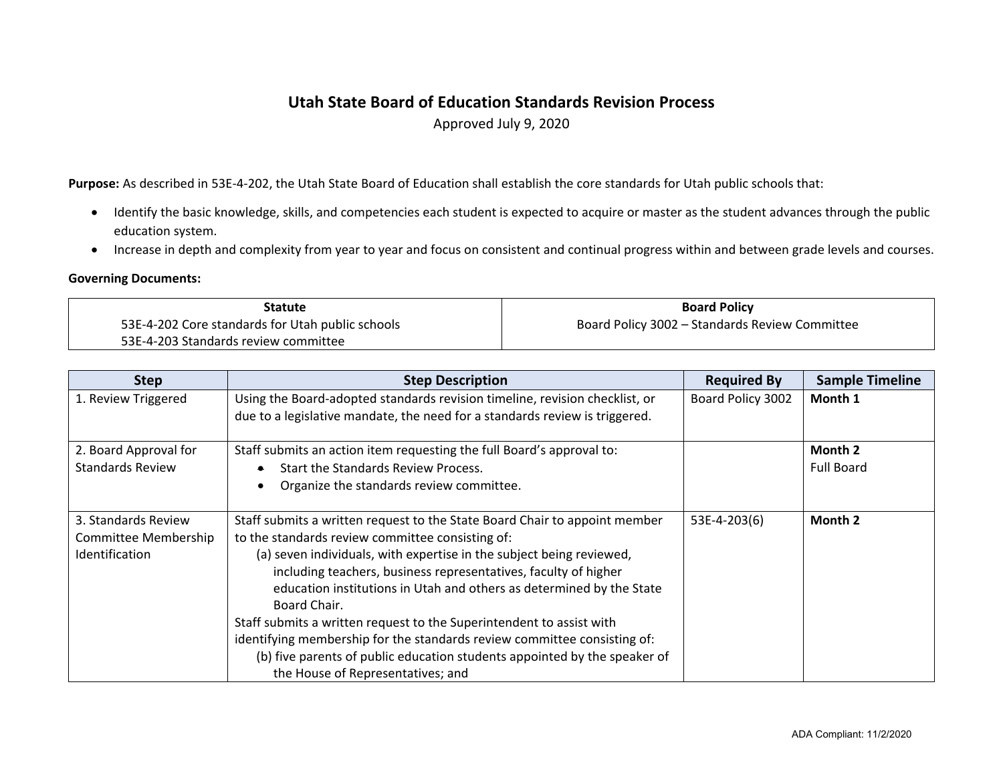## **Utah State Board of Education Standards Revision Process**

Approved July 9, 2020

**Purpose:** As described in 53E-4-202, the Utah State Board of Education shall establish the core standards for Utah public schools that:

- Identify the basic knowledge, skills, and competencies each student is expected to acquire or master as the student advances through the public education system.
- Increase in depth and complexity from year to year and focus on consistent and continual progress within and between grade levels and courses.

## **Governing Documents:**

| <b>Statute</b>                                   | <b>Board Policy</b>                            |
|--------------------------------------------------|------------------------------------------------|
| 53E-4-202 Core standards for Utah public schools | Board Policy 3002 - Standards Review Committee |
| 53E-4-203 Standards review committee             |                                                |

| <b>Step</b>             | <b>Step Description</b>                                                     | <b>Required By</b> | <b>Sample Timeline</b> |
|-------------------------|-----------------------------------------------------------------------------|--------------------|------------------------|
| 1. Review Triggered     | Using the Board-adopted standards revision timeline, revision checklist, or | Board Policy 3002  | Month 1                |
|                         | due to a legislative mandate, the need for a standards review is triggered. |                    |                        |
| 2. Board Approval for   | Staff submits an action item requesting the full Board's approval to:       |                    | Month 2                |
| <b>Standards Review</b> | Start the Standards Review Process.                                         |                    | <b>Full Board</b>      |
|                         | Organize the standards review committee.                                    |                    |                        |
| 3. Standards Review     | Staff submits a written request to the State Board Chair to appoint member  | 53E-4-203(6)       | Month 2                |
| Committee Membership    | to the standards review committee consisting of:                            |                    |                        |
| Identification          | (a) seven individuals, with expertise in the subject being reviewed,        |                    |                        |
|                         | including teachers, business representatives, faculty of higher             |                    |                        |
|                         | education institutions in Utah and others as determined by the State        |                    |                        |
|                         | Board Chair.                                                                |                    |                        |
|                         | Staff submits a written request to the Superintendent to assist with        |                    |                        |
|                         | identifying membership for the standards review committee consisting of:    |                    |                        |
|                         | (b) five parents of public education students appointed by the speaker of   |                    |                        |
|                         | the House of Representatives; and                                           |                    |                        |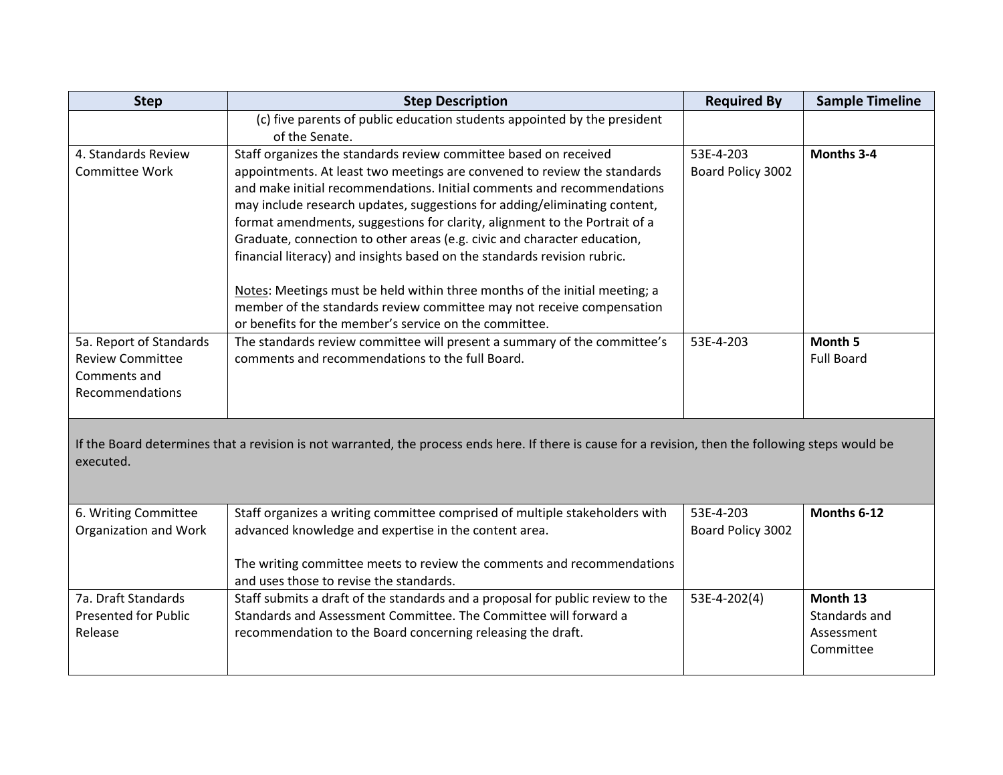| <b>Step</b>                                                                                                                                                       | <b>Step Description</b>                                                                    | <b>Required By</b> | <b>Sample Timeline</b> |  |
|-------------------------------------------------------------------------------------------------------------------------------------------------------------------|--------------------------------------------------------------------------------------------|--------------------|------------------------|--|
|                                                                                                                                                                   | (c) five parents of public education students appointed by the president<br>of the Senate. |                    |                        |  |
| 4. Standards Review                                                                                                                                               | Staff organizes the standards review committee based on received                           | 53E-4-203          | Months 3-4             |  |
| Committee Work                                                                                                                                                    | appointments. At least two meetings are convened to review the standards                   | Board Policy 3002  |                        |  |
|                                                                                                                                                                   | and make initial recommendations. Initial comments and recommendations                     |                    |                        |  |
|                                                                                                                                                                   | may include research updates, suggestions for adding/eliminating content,                  |                    |                        |  |
|                                                                                                                                                                   | format amendments, suggestions for clarity, alignment to the Portrait of a                 |                    |                        |  |
|                                                                                                                                                                   | Graduate, connection to other areas (e.g. civic and character education,                   |                    |                        |  |
|                                                                                                                                                                   | financial literacy) and insights based on the standards revision rubric.                   |                    |                        |  |
|                                                                                                                                                                   | Notes: Meetings must be held within three months of the initial meeting; a                 |                    |                        |  |
|                                                                                                                                                                   | member of the standards review committee may not receive compensation                      |                    |                        |  |
|                                                                                                                                                                   | or benefits for the member's service on the committee.                                     |                    |                        |  |
| 5a. Report of Standards                                                                                                                                           | The standards review committee will present a summary of the committee's                   | 53E-4-203          | Month 5                |  |
| <b>Review Committee</b>                                                                                                                                           | comments and recommendations to the full Board.                                            |                    | <b>Full Board</b>      |  |
| Comments and                                                                                                                                                      |                                                                                            |                    |                        |  |
| Recommendations                                                                                                                                                   |                                                                                            |                    |                        |  |
| If the Board determines that a revision is not warranted, the process ends here. If there is cause for a revision, then the following steps would be<br>executed. |                                                                                            |                    |                        |  |
| 6. Writing Committee                                                                                                                                              | Staff organizes a writing committee comprised of multiple stakeholders with                | 53E-4-203          | Months 6-12            |  |
| Organization and Work                                                                                                                                             | advanced knowledge and expertise in the content area.                                      | Board Policy 3002  |                        |  |
|                                                                                                                                                                   | The writing committee meets to review the comments and recommendations                     |                    |                        |  |
|                                                                                                                                                                   | and uses those to revise the standards.                                                    |                    |                        |  |
| 7a. Draft Standards                                                                                                                                               | Staff submits a draft of the standards and a proposal for public review to the             | 53E-4-202(4)       | Month 13               |  |
| <b>Presented for Public</b>                                                                                                                                       | Standards and Assessment Committee. The Committee will forward a                           |                    | Standards and          |  |
| Release                                                                                                                                                           | recommendation to the Board concerning releasing the draft.                                |                    | Assessment             |  |
|                                                                                                                                                                   |                                                                                            |                    | Committee              |  |
|                                                                                                                                                                   |                                                                                            |                    |                        |  |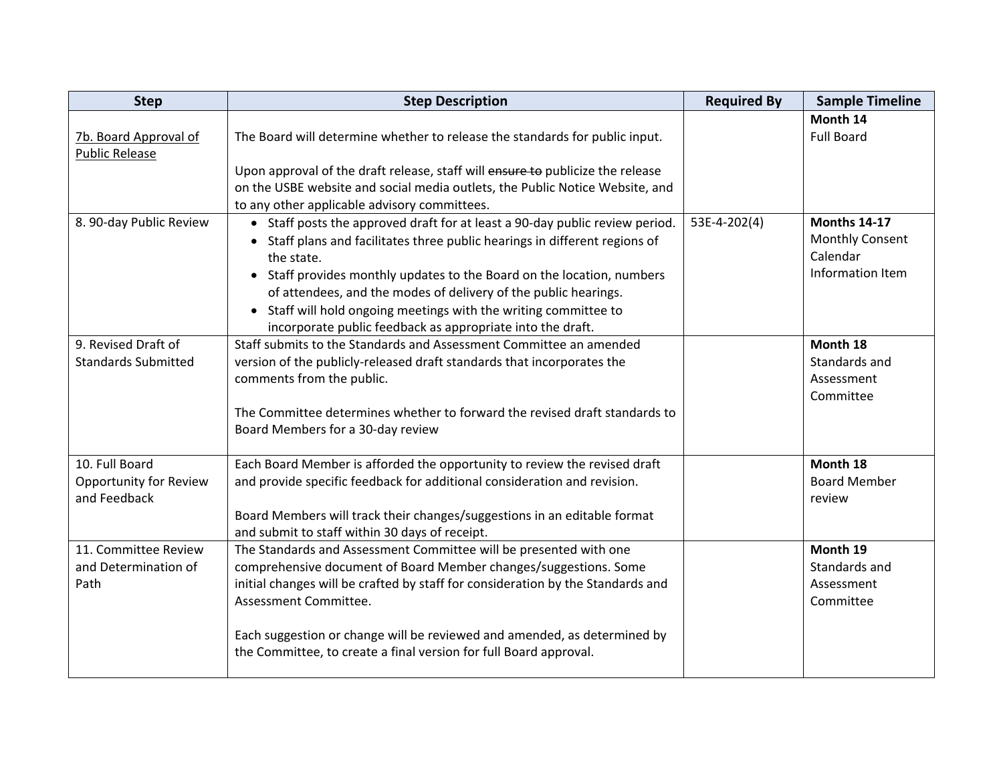| <b>Step</b>                                              | <b>Step Description</b>                                                                                                                                                                                                                                                                                                                                                                                                                                  | <b>Required By</b> | <b>Sample Timeline</b>                                                        |
|----------------------------------------------------------|----------------------------------------------------------------------------------------------------------------------------------------------------------------------------------------------------------------------------------------------------------------------------------------------------------------------------------------------------------------------------------------------------------------------------------------------------------|--------------------|-------------------------------------------------------------------------------|
| 7b. Board Approval of<br><b>Public Release</b>           | The Board will determine whether to release the standards for public input.                                                                                                                                                                                                                                                                                                                                                                              |                    | Month 14<br><b>Full Board</b>                                                 |
|                                                          | Upon approval of the draft release, staff will ensure to publicize the release<br>on the USBE website and social media outlets, the Public Notice Website, and<br>to any other applicable advisory committees.                                                                                                                                                                                                                                           |                    |                                                                               |
| 8. 90-day Public Review                                  | • Staff posts the approved draft for at least a 90-day public review period.<br>• Staff plans and facilitates three public hearings in different regions of<br>the state.<br>• Staff provides monthly updates to the Board on the location, numbers<br>of attendees, and the modes of delivery of the public hearings.<br>• Staff will hold ongoing meetings with the writing committee to<br>incorporate public feedback as appropriate into the draft. | 53E-4-202(4)       | <b>Months 14-17</b><br><b>Monthly Consent</b><br>Calendar<br>Information Item |
| 9. Revised Draft of<br><b>Standards Submitted</b>        | Staff submits to the Standards and Assessment Committee an amended<br>version of the publicly-released draft standards that incorporates the<br>comments from the public.<br>The Committee determines whether to forward the revised draft standards to<br>Board Members for a 30-day review                                                                                                                                                             |                    | Month 18<br>Standards and<br>Assessment<br>Committee                          |
| 10. Full Board<br>Opportunity for Review<br>and Feedback | Each Board Member is afforded the opportunity to review the revised draft<br>and provide specific feedback for additional consideration and revision.<br>Board Members will track their changes/suggestions in an editable format<br>and submit to staff within 30 days of receipt.                                                                                                                                                                      |                    | Month 18<br><b>Board Member</b><br>review                                     |
| 11. Committee Review<br>and Determination of<br>Path     | The Standards and Assessment Committee will be presented with one<br>comprehensive document of Board Member changes/suggestions. Some<br>initial changes will be crafted by staff for consideration by the Standards and<br>Assessment Committee.<br>Each suggestion or change will be reviewed and amended, as determined by<br>the Committee, to create a final version for full Board approval.                                                       |                    | Month 19<br>Standards and<br>Assessment<br>Committee                          |